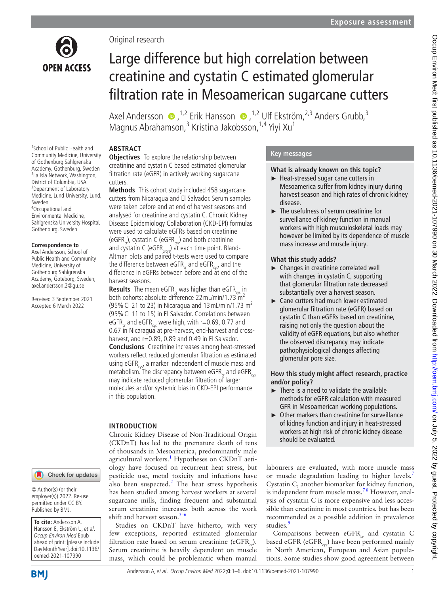

Original research

# Large difference but high correlation between creatinine and cystatin C estimated glomerular filtration rate in Mesoamerican sugarcane cutters

AxelAndersson  $\bullet$ , <sup>1,2</sup> Erik Hansson  $\bullet$ , <sup>1,2</sup> Ulf Ekström, <sup>2,3</sup> Anders Grubb,<sup>3</sup> Magnus Abrahamson,<sup>3</sup> Kristina Jakobsson, <sup>1,4</sup> Yiyi Xu<sup>1</sup>

## **ABSTRACT Objectives** To explore the relationship between

harvest seasons.

in this population.

**INTRODUCTION**

shift and harvest season. $3-6$ 

cutters.

creatinine and cystatin C based estimated glomerular filtration rate (eGFR) in actively working sugarcane

**Methods** This cohort study included 458 sugarcane cutters from Nicaragua and El Salvador. Serum samples were taken before and at end of harvest seasons and analysed for creatinine and cystatin C. Chronic Kidney Disease Epidemiology Collaboration (CKD-EPI) formulas were used to calculate eGFRs based on creatinine (eGFR<sub>cr</sub>), cystatin C (eGFR<sub>cx</sub>) and both creatinine and cystatin C (eGFR $_{\rm cross}$ ) at each time point. Bland-Altman plots and paired t-tests were used to compare the difference between eGFR $_{cr}$  and eGFR $_{cyc}$ , and the difference in eGFRs between before and at end of the

**Results** The mean eGFR<sub>c</sub> was higher than eGFR<sub>cy</sub> in both cohorts; absolute difference 22 mL/min/1.73 m<sup>2</sup> (95% CI 21 to 23) in Nicaragua and 13 mL/min/1.73  $m<sup>2</sup>$ (95%CI 11 to 15) in El Salvador. Correlations between eGFR<sub>cr</sub> and eGFR<sub>css</sub> were high, with r=0.69, 0.77 and 0.67 in Nicaragua at pre-harvest, end-harvest and crossharvest, and r=0.89, 0.89 and 0.49 in El Salvador. **Conclusions** Creatinine increases among heat-stressed workers reflect reduced glomerular filtration as estimated using eGFR $_{\text{occ}}$ , a marker independent of muscle mass and metabolism. The discrepancy between eGFR<sub>c</sub> and eGFR<sub>cys</sub> may indicate reduced glomerular filtration of larger molecules and/or systemic bias in CKD-EPI performance

Chronic Kidney Disease of Non-Traditional Origin (CKDnT) has led to the premature death of tens of thousands in Mesoamerica, predominantly male agricultural workers.<sup>1</sup> Hypotheses on CKDnT aetiology have focused on recurrent heat stress, but pesticide use, metal toxicity and infections have also been suspected.<sup>[2](#page-5-1)</sup> The heat stress hypothesis has been studied among harvest workers at several sugarcane mills, finding frequent and substantial serum creatinine increases both across the work

Studies on CKDnT have hitherto, with very few exceptions, reported estimated glomerular filtration rate based on serum creatinine (eGFR $_{2}$ ). Serum creatinine is heavily dependent on muscle mass, which could be problematic when manual

1 School of Public Health and Community Medicine, University of Gothenburg Sahlgrenska Academy, Gothenburg, Sweden 2 La Isla Network, Washington, District of Columbia, USA <sup>3</sup>Department of Laboratory Medicine, Lund University, Lund, Sweden 4 Occupational and Environmental Medicine,

Sahlgrenska University Hospital, Gothenburg, Sweden

#### **Correspondence to**

Axel Andersson, School of Public Health and Community Medicine, University of Gothenburg Sahlgrenska Academy, Goteborg, Sweden; axel.andersson.2@gu.se

Received 3 September 2021 Accepted 6 March 2022

## Check for updates

© Author(s) (or their employer(s)) 2022. Re-use permitted under CC BY. Published by BMJ.

**To cite:** Andersson A, Hansson E, Ekström U, et al. Occup Environ Med Epub ahead of print: [please include Day Month Year]. doi:10.1136/ oemed-2021-107990

# Andersson A, et al. Occup Environ Med 2022;**0**:1–6. doi:10.1136/oemed-2021-107990 1

# **Key messages**

# **What is already known on this topic?**

- ► Heat-stressed sugar cane cutters in Mesoamerica suffer from kidney injury during harvest season and high rates of chronic kidney disease.
- ► The usefulness of serum creatinine for surveillance of kidney function in manual workers with high musculoskeletal loads may however be limited by its dependence of muscle mass increase and muscle injury.

# **What this study adds?**

- ► Changes in creatinine correlated well with changes in cystatin C, supporting that glomerular filtration rate decreased substantially over a harvest season.
- ► Cane cutters had much lower estimated glomerular filtration rate (eGFR) based on cystatin C than eGFRs based on creatinine, raising not only the question about the validity of eGFR equations, but also whether the observed discrepancy may indicate pathophysiological changes affecting glomerular pore size.

# **How this study might affect research, practice and/or policy?**

- ► There is a need to validate the available methods for eGFR calculation with measured GFR in Mesoamerican working populations.
- ► Other markers than creatinine for surveillance of kidney function and injury in heat-stressed workers at high risk of chronic kidney disease should be evaluated.

labourers are evaluated, with more muscle mass or muscle degradation leading to higher levels.<sup>[7](#page-5-3)</sup> Cystatin C, another biomarker for kidney function, is independent from muscle mass.<sup>78</sup> However, analysis of cystatin C is more expensive and less accessible than creatinine in most countries, but has been recommended as a possible addition in prevalence studies.<sup>[9](#page-5-4)</sup>

Comparisons between  $eGFR_c$  and cystatin C based eGFR (eGFR<sub>que</sub>) have been performed mainly in North American, European and Asian populations. Some studies show good agreement between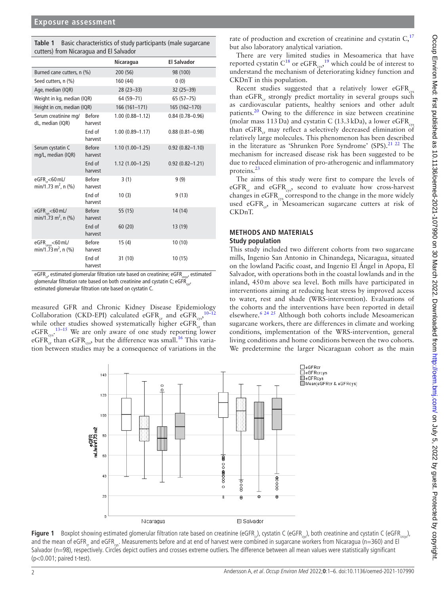<span id="page-1-0"></span>

| Table 1 | Basic characteristics of study participants (male sugarcane |
|---------|-------------------------------------------------------------|
|         | cutters) from Nicaragua and El Salvador                     |

|                                                                  |                          | Nicaragua           | <b>El Salvador</b>  |
|------------------------------------------------------------------|--------------------------|---------------------|---------------------|
| Burned cane cutters, n (%)                                       |                          | 200 (56)            | 98 (100)            |
| Seed cutters, n (%)                                              |                          | 160 (44)            | 0(0)                |
| Age, median (IQR)                                                |                          | $28(23 - 33)$       | $32(25 - 39)$       |
| Weight in kg, median (IQR)                                       |                          | 64 (59-71)          | $65(57-75)$         |
| Height in cm, median (IQR)                                       |                          | 166 (161-171)       | 165 (162-170)       |
| Serum creatinine mg/<br>dL, median (IQR)                         | <b>Before</b><br>harvest | $1.00(0.88 - 1.12)$ | $0.84(0.78 - 0.96)$ |
|                                                                  | End of<br>harvest        | $1.00(0.89 - 1.17)$ | $0.88(0.81 - 0.98)$ |
| Serum cystatin C<br>mg/L, median (IQR)                           | <b>Before</b><br>harvest | $1.10(1.00 - 1.25)$ | $0.92(0.82 - 1.10)$ |
|                                                                  | End of<br>harvest        | $1.12(1.00 - 1.25)$ | $0.92(0.82 - 1.21)$ |
| eGFR <sub>cr</sub> <60 mL/<br>$min/1.73$ m <sup>2</sup> , n (%)  | <b>Before</b><br>harvest | 3(1)                | 9(9)                |
|                                                                  | End of<br>harvest        | 10(3)               | 9(13)               |
| eGFR <sub>os</sub> <60 mL/<br>min/1.73 m <sup>2</sup> , n (%)    | <b>Before</b><br>harvest | 55 (15)             | 14(14)              |
|                                                                  | End of<br>harvest        | 60(20)              | 13 (19)             |
| eGFR <sub>croys</sub> <60 mL/<br>min/1.73 m <sup>2</sup> , n (%) | <b>Before</b><br>harvest | 15(4)               | 10(10)              |
|                                                                  | End of<br>harvest        | 31 (10)             | 10(15)              |

eGFR<sub>cr</sub>, estimated glomerular filtration rate based on creatinine; eGFR $_{\rm{crys}}$ , estimated glomerular filtration rate based on both creatinine and cystatin C; eGFR $_{\text{corr}}$ estimated glomerular filtration rate based on cystatin C.

measured GFR and Chronic Kidney Disease Epidemiology<br>Collaboration (CKD EPI) calculated eCEP and eCEP <sup>[10–12](#page-5-5)</sup> Collaboration (CKD-EPI) calculated eGFR<sub>cr</sub> and eGFR<sub>css</sub>, while other studies showed systematically higher  $eGFR$ <sub>cr</sub> than eGFR $_{\rm cyc}$ .<sup>[13–15](#page-5-6)</sup> We are only aware of one study reporting lower eGFR $_{\text{cr}}^{\text{C}}$  than eGFR<sub>cys</sub>, but the difference was small.<sup>[16](#page-5-7)</sup> This variation between studies may be a consequence of variations in the

rate of production and excretion of creatinine and cystatin  $C<sub>1</sub><sup>17</sup>$  $C<sub>1</sub><sup>17</sup>$  $C<sub>1</sub><sup>17</sup>$ but also laboratory analytical variation.

There are very limited studies in Mesoamerica that have reported cystatin C<sup>18</sup> or eGFR<sub>cys</sub>,<sup>19</sup> which could be of interest to understand the mechanism of deteriorating kidney function and CKDnT in this population.

Recent studies suggested that a relatively lower  $eGFR_{\text{cyc}}$ than eGFR<sub>c</sub> strongly predict mortality in several groups such as cardiovascular patients, healthy seniors and other adult patients.<sup>20</sup> Owing to the difference in size between creatinine (molar mass 113 Da) and cystatin C (13.3 kDa), a lower eGFR $_{\text{cyc}}$ than  $eGFR_{cr}$  may reflect a selectively decreased elimination of relatively large molecules. This phenomenon has been described in the literature as 'Shrunken Pore Syndrome' (SPS). $^{21}$   $^{22}$  The mechanism for increased disease risk has been suggested to be due to reduced elimination of pro-atherogenic and inflammatory proteins.[23](#page-5-13)

The aims of this study were first to compare the levels of  $eGFR_{cr}$  and  $eGFR_{\text{cav}}$ , second to evaluate how cross-harvest changes in eGFR<sub>cys</sub> correspond to the change in the more widely used eGFR $_{cs}$ , in Mesoamerican sugarcane cutters at risk of CKDnT.

# **METHODS AND MATERIALS Study population**

This study included two different cohorts from two sugarcane mills, Ingenio San Antonio in Chinandega, Nicaragua, situated on the lowland Pacific coast, and Ingenio El Ángel in Apopa, El Salvador, with operations both in the coastal lowlands and in the inland, 450m above sea level. Both mills have participated in interventions aiming at reducing heat stress by improved access to water, rest and shade (WRS-intervention). Evaluations of the cohorts and the interventions have been reported in detail elsewhere.[6 24 25](#page-5-14) Although both cohorts include Mesoamerican sugarcane workers, there are differences in climate and working conditions, implementation of the WRS-intervention, general living conditions and home conditions between the two cohorts. We predetermine the larger Nicaraguan cohort as the main



<span id="page-1-1"></span>Figure 1 Boxplot showing estimated glomerular filtration rate based on creatinine (eGFR<sub>cr</sub>), cystatin C (eGFR<sub>crx</sub>), both creatinine and cystatin C (eGFR<sub>crcs</sub>), and the mean of eGFR<sub>c</sub> and eGFR<sub>cc</sub>. Measurements before and at end of harvest were combined in sugarcane workers from Nicaragua (n=360) and El Salvador (n=98), respectively. Circles depict outliers and crosses extreme outliers. The difference between all mean values were statistically significant (p<0.001; paired t-test).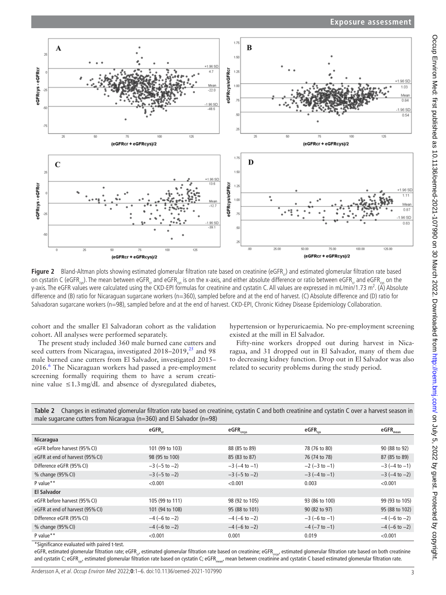

<span id="page-2-0"></span>Figure 2 Bland-Altman plots showing estimated glomerular filtration rate based on creatinine (eGFR) and estimated glomerular filtration rate based on cystatin C (eGFR<sub>ce</sub>). The mean between eGFR<sub>ce</sub> and eGFR<sub>ce</sub> is on the x-axis, and either absolute difference or ratio between eGFR<sub>c</sub> and eGFR<sub>ce</sub> on the y-axis. The eGFR values were calculated using the CKD-EPI formulas for creatinine and cystatin C. All values are expressed in mL/min/1.73 m<sup>2</sup>. (Å) Absolute difference and (B) ratio for Nicaraguan sugarcane workers (n=360), sampled before and at the end of harvest. (C) Absolute difference and (D) ratio for Salvadoran sugarcane workers (n=98), sampled before and at the end of harvest. CKD-EPI, Chronic Kidney Disease Epidemiology Collaboration.

cohort and the smaller El Salvadoran cohort as the validation cohort. All analyses were performed separately.

The present study included 360 male burned cane cutters and seed cutters from Nicaragua, investigated  $2018-2019$ ,  $^{25}$  and 98 male burned cane cutters from El Salvador, investigated 2015– 201[6](#page-5-14).<sup>6</sup> The Nicaraguan workers had passed a pre-employment screening formally requiring them to have a serum creatinine value ≤1.3mg/dL and absence of dysregulated diabetes,

hypertension or hyperuricaemia. No pre-employment screening existed at the mill in El Salvador.

Fifty-nine workers dropped out during harvest in Nicaragua, and 31 dropped out in El Salvador, many of them due to decreasing kidney function. Drop out in El Salvador was also related to security problems during the study period.

<span id="page-2-1"></span>

| Table 2 Changes in estimated glomerular filtration rate based on creatinine, cystatin C and both creatinine and cystatin C over a harvest season in |
|-----------------------------------------------------------------------------------------------------------------------------------------------------|
| male sugarcane cutters from Nicaragua ( $n=360$ ) and El Salvador ( $n=98$ )                                                                        |

| $\cdots$ and comparative contracts in our integral for several contracts for self- |                       |                       |                       |                                 |  |  |  |  |
|------------------------------------------------------------------------------------|-----------------------|-----------------------|-----------------------|---------------------------------|--|--|--|--|
|                                                                                    | $e$ GFR $_{cr}$       | $eGFR_{\text{crys}}$  | $e$ GFR $_{\rm cys}$  | $\mathsf{eGFR}_{\mathsf{mean}}$ |  |  |  |  |
| Nicaragua                                                                          |                       |                       |                       |                                 |  |  |  |  |
| eGFR before harvest (95% CI)                                                       | 101 (99 to 103)       | 88 (85 to 89)         | 78 (76 to 80)         | 90 (88 to 92)                   |  |  |  |  |
| eGFR at end of harvest (95% CI)                                                    | 98 (95 to 100)        | 85 (83 to 87)         | 76 (74 to 78)         | 87 (85 to 89)                   |  |  |  |  |
| Difference eGFR (95% CI)                                                           | $-3$ ( $-5$ to $-2$ ) | $-3$ ( $-4$ to $-1$ ) | $-2$ ( $-3$ to $-1$ ) | $-3$ ( $-4$ to $-1$ )           |  |  |  |  |
| % change (95% CI)                                                                  | $-3$ ( $-5$ to $-2$ ) | $-3$ ( $-5$ to $-2$ ) | $-3$ ( $-4$ to $-1$ ) | $-3$ ( $-4$ to $-2$ )           |  |  |  |  |
| P value**                                                                          | < 0.001               | < 0.001               | 0.003                 | < 0.001                         |  |  |  |  |
| <b>El Salvador</b>                                                                 |                       |                       |                       |                                 |  |  |  |  |
| eGFR before harvest (95% CI)                                                       | 105 (99 to 111)       | 98 (92 to 105)        | 93 (86 to 100)        | 99 (93 to 105)                  |  |  |  |  |
| eGFR at end of harvest (95% CI)                                                    | 101 (94 to 108)       | 95 (88 to 101)        | 90 (82 to 97)         | 95 (88 to 102)                  |  |  |  |  |
| Difference eGFR (95% CI)                                                           | $-4$ (-6 to -2)       | $-4$ (-6 to -2)       | $-3$ (-6 to -1)       | $-4$ (-6 to -2)                 |  |  |  |  |
| % change (95% CI)                                                                  | $-4$ (-6 to -2)       | $-4$ (-6 to -2)       | $-4$ ( $-7$ to $-1$ ) | $-4$ (-6 to -2)                 |  |  |  |  |
| P value**                                                                          | < 0.001               | 0.001                 | 0.019                 | < 0.001                         |  |  |  |  |
|                                                                                    |                       |                       |                       |                                 |  |  |  |  |

\*Significance evaluated with paired t-test.

eGFR, estimated glomerular filtration rate; eGFR<sub>cr</sub>, estimated glomerular filtration rate based on creatinine; eGFR<sub>cros</sub>, estimated glomerular filtration rate based on both creatinine and cystatin C; eGFR<sub>ox</sub>, estimated glomerular filtration rate based on cystatin C; eGFR<sub>mean</sub>, mean between creatinine and cystatin C based estimated glomerular filtration rate.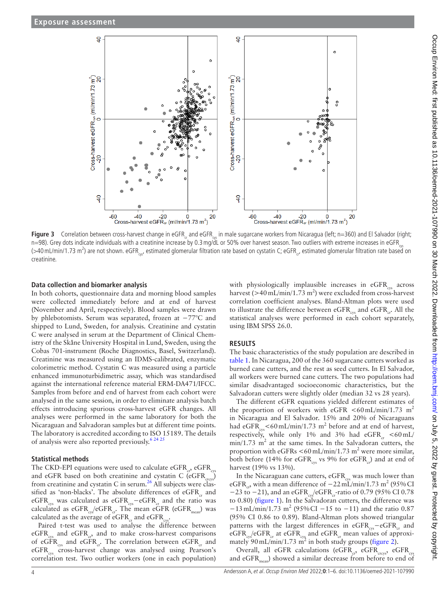

**Figure 3** Correlation between cross-harvest change in eGFR<sub>cr</sub> and eGFR<sub>cs</sub> in male sugarcane workers from Nicaragua (left; n=360) and El Salvador (right; n=98). Grey dots indicate individuals with a creatinine increase by 0.3 mg/dL or 50% over harvest season. Two outliers with extreme increases in eGFR (>40 mL/min/1.73 m<sup>2</sup>) are not shown. eGFR<sub>oys</sub>, estimated glomerular filtration rate based on cystatin C; eGFR<sub>cr</sub>, estimated glomerular filtration rate based on creatinine.

## **Data collection and biomarker analysis**

In both cohorts, questionnaire data and morning blood samples were collected immediately before and at end of harvest (November and April, respectively). Blood samples were drawn by phlebotomists. Serum was separated, frozen at −77°C and shipped to Lund, Sweden, for analysis. Creatinine and cystatin C were analysed in serum at the Department of Clinical Chemistry of the Skåne University Hospital in Lund, Sweden, using the Cobas 701-instrument (Roche Diagnostics, Basel, Switzerland). Creatinine was measured using an IDMS-calibrated, enzymatic colorimetric method. Cystatin C was measured using a particle enhanced immunoturbidimetric assay, which was standardised against the international reference material ERM-DA471/IFCC. Samples from before and end of harvest from each cohort were analysed in the same session, in order to eliminate analysis batch effects introducing spurious cross-harvest eGFR changes. All analyses were performed in the same laboratory for both the Nicaraguan and Salvadoran samples but at different time points. The laboratory is accredited according to ISO 15189. The details of analysis were also reported previously.<sup>6 24 25</sup>

## **Statistical methods**

The CKD-EPI equations were used to calculate eGFR<sub>cr</sub>, eGFR<sub>cv</sub> and eGFR based on both creatinine and cystatin C (eGFR $_{\rm crcys}$ ) from creatinine and cystatin C in serum.<sup>26</sup> All subjects were classified as 'non-blacks'. The absolute differences of eGFR<sub>c</sub> and eGFR<sub>cys</sub> was calculated as eGFR<sub>cys</sub>−eGFR<sub>cr</sub> and the ratio was calculated as  $eGFR_{\text{cv}}/eGFR_{\text{cr}}$ . The mean  $eGFR$  (eGFR<sub>mean</sub>) was calculated as the average of eGFR<sub>qq</sub> and eGFR<sub>qqq</sub>.

Paired t-test was used to analyse the difference between  $eGFR_{cm}$  and  $eGFR_{cm}$ , and to make cross-harvest comparisons of eGFR<sub>css</sub> and eGFR<sub>cr</sub>. The correlation between eGFR<sub>cr</sub> and eGFR<sub>cys</sub> cross-harvest change was analysed using Pearson's correlation test. Two outlier workers (one in each population)

<span id="page-3-0"></span>with physiologically implausible increases in  $eGFR_{\rm crs}$  across harvest ( $>40 \text{ mL/min}/1.73 \text{ m}^2$ ) were excluded from cross-harvest correlation coefficient analyses. Bland-Altman plots were used to illustrate the difference between  $eGFR_{\text{cav}}$  and  $eGFR_{\text{cav}}$ . All the statistical analyses were performed in each cohort separately, using IBM SPSS 26.0.

# **RESULTS**

The basic characteristics of the study population are described in [table](#page-1-0) 1. In Nicaragua, 200 of the 360 sugarcane cutters worked as burned cane cutters, and the rest as seed cutters. In El Salvador, all workers were burned cane cutters. The two populations had similar disadvantaged socioeconomic characteristics, but the Salvadoran cutters were slightly older (median 32 vs 28 years).

The different eGFR equations yielded different estimates of the proportion of workers with eGFR  $\lt 60$  mL/min/1.73 m<sup>2</sup> in Nicaragua and El Salvador. 15% and 20% of Nicaraguans had eGFR<sub>cys</sub><60 mL/min/1.73 m<sup>2</sup> before and at end of harvest, respectively, while only 1% and 3% had eGFR $_{cr}$  <60 mL/  $min/1.73$   $m<sup>2</sup>$  at the same times. In the Salvadoran cutters, the proportion with  $e$ GFRs  $\lt 60$  mL/min/1.73 m<sup>2</sup> were more similar, both before (14% for eGFR<sub>cys</sub> vs 9% for eGFR<sub>cr</sub>) and at end of harvest (19% vs 13%).

In the Nicaraguan cane cutters,  $eGFR_{\text{cys}}$  was much lower than eGFR<sub>cr</sub>, with a mean difference of  $-22 \text{ mL/min}/1.73 \text{ m}^2$  (95% CI −23 to −21), and an eGFR<sub>cy</sub>/eGFR<sub>cr</sub>-ratio of 0.79 (95% CI 0.78 to 0.80) [\(figure](#page-1-1) 1). In the Salvadoran cutters, the difference was  $-13$  mL/min/1.73 m<sup>2</sup> (95% CI −15 to −11) and the ratio 0.87 (95% CI 0.86 to 0.89). Bland-Altman plots showed triangular patterns with the largest differences in eGFR<sub>co</sub>−eGFR<sub>c</sub> and  $eGFR_{\text{cv}}/eGFR_{\text{cr}}$  at  $eGFR_{\text{cv}}$  and  $eGFR_{\text{cr}}$  mean values of approximately  $90 \text{ mL/min}/1.73 \text{ m}^2$  in both study groups [\(figure](#page-2-0) 2).

Overall, all eGFR calculations (eGFR<sub>cr</sub>, eGFR<sub>cres</sub>, eGFR<sub>cre</sub> and  $eGFR_{\text{mean}}$ ) showed a similar decrease from before to end of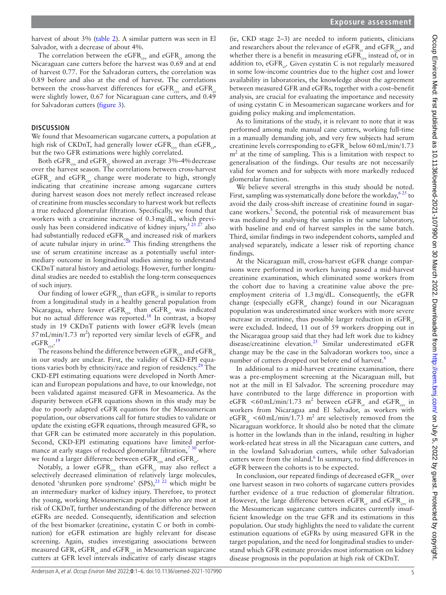harvest of about 3% [\(table](#page-2-1) 2). A similar pattern was seen in El Salvador, with a decrease of about 4%.

The correlation between the eGFR $_{\rm{cys}}$  and eGFR $_{\rm{cr}}$  among the Nicaraguan cane cutters before the harvest was 0.69 and at end of harvest 0.77. For the Salvadoran cutters, the correlation was 0.89 before and also at the end of harvest. The correlations between the cross-harvest differences for eGFR $_{\text{cm}}$  and eGFR $_{\text{cm}}$ were slightly lower, 0.67 for Nicaraguan cane cutters, and 0.49 for Salvadoran cutters [\(figure](#page-3-0) 3).

# **DISCUSSION**

We found that Mesoamerican sugarcane cutters, a population at high risk of CKDnT, had generally lower eGFR<sub>qq</sub>, than eGFR<sub>qq</sub>, but the two GFR estimations were highly correlated.

Both eGFR<sub>cy</sub> and eGFR<sub>c</sub> showed an average 3%–4% decrease over the harvest season. The correlations between cross-harvest  $eGFR<sub>cr</sub>$  and  $eGFR<sub>crs</sub>$  change were moderate to high, strongly indicating that creatinine increase among sugarcane cutters during harvest season does not merely reflect increased release of creatinine from muscles secondary to harvest work but reflects a true reduced glomerular filtration. Specifically, we found that workers with a creatinine increase of 0.3mg/dL, which previously has been considered indicative of kidney injury,<sup>3 25 27</sup> also had substantially reduced e $\mathrm{GFR}_\mathrm{cys}$  and increased risk of markers of acute tubular injury in urine.<sup>28</sup> This finding strengthens the use of serum creatinine increase as a potentially useful intermediary outcome in longitudinal studies aiming to understand CKDnT natural history and aetiology. However, further longitudinal studies are needed to establish the long-term consequences of such injury.

Our finding of lower eGFR $_{\rm{cys}}$  than eGFR $_{\rm{cr}}$  is similar to reports from a longitudinal study in a healthy general population from Nicaragua, where lower  $eGFR_{\rm{cys}}$  than  $eGFR_{\rm{cr}}$  was indicated but no actual difference was reported.<sup>[18](#page-5-9)</sup> In contrast, a biopsy study in 19 CKDnT patients with lower eGFR levels (mean  $57 \text{ mL/min}/1.73 \text{ m}^2$ ) reported very similar levels of eGFR<sub>cr</sub> and eGFR $_{\rm{cys}}$ .<sup>[19](#page-5-10)</sup>

The reasons behind the difference between eGFR<sub>qqq</sub> and eGFR<sub>qq</sub> in our study are unclear. First, the validity of CKD-EPI equations varies both by ethnicity/race and region of residency.[29](#page-5-18) The CKD-EPI estimating equations were developed in North American and European populations and have, to our knowledge, not been validated against measured GFR in Mesoamerica. As the disparity between eGFR equations shown in this study may be due to poorly adapted eGFR equations for the Mesoamerican population, our observations call for future studies to validate or update the existing eGFR equations, through measured GFR, so that GFR can be estimated more accurately in this population. Second, CKD-EPI estimating equations have limited performance at early stages of reduced glomerular filtration,<sup>730</sup> where we found a larger difference between  $eGFR_{\rm cvs}$  and  $eGFR_{\rm cr}$ .

Notably, a lower eGFR<sub>cys</sub> than eGFR<sub>cr</sub> may also reflect a selectively decreased elimination of relatively large molecules, denoted 'shrunken pore syndrome' (SPS),<sup>21 22</sup> which might be an intermediary marker of kidney injury. Therefore, to protect the young, working Mesoamerican population who are most at risk of CKDnT, further understanding of the difference between eGFRs are needed. Consequently, identification and selection of the best biomarker (creatinine, cystatin C or both in combination) for eGFR estimation are highly relevant for disease screening. Again, studies investigating associations between measured GFR, eGFR<sub>cr</sub> and eGFR<sub>cvs</sub> in Mesoamerican sugarcane cutters at GFR level intervals indicative of early disease stages

(ie, CKD stage 2–3) are needed to inform patients, clinicians and researchers about the relevance of  $eGFR_{cr}$  and  $eGFR_{cys}$ , and whether there is a benefit in measuring eGFR $_{\rm{cyc}}$  instead of, or in addition to,  $eGFR_{cr}$ . Given cystatin C is not regularly measured in some low-income countries due to the higher cost and lower availability in laboratories, the knowledge about the agreement between measured GFR and eGFRs, together with a cost–benefit analysis, are crucial for evaluating the importance and necessity of using cystatin C in Mesoamerican sugarcane workers and for guiding policy making and implementation.

As to limitations of the study, it is relevant to note that it was performed among male manual cane cutters, working full-time in a manually demanding job, and very few subjects had serum creatinine levels corresponding to  $eGFR$ <sub>rb</sub> below 60 mL/min/1.73  $m<sup>2</sup>$  at the time of sampling. This is a limitation with respect to generalisation of the findings. Our results are not necessarily valid for women and for subjects with more markedly reduced glomerular function.

We believe several strengths in this study should be noted. First, sampling was systematically done before the workday,  $625$  to avoid the daily cross-shift increase of creatinine found in sugarcane workers.<sup>5</sup> Second, the potential risk of measurement bias was mediated by analysing the samples in the same laboratory, with baseline and end of harvest samples in the same batch. Third, similar findings in two independent cohorts, sampled and analysed separately, indicate a lesser risk of reporting chance findings.

At the Nicaraguan mill, cross-harvest eGFR change comparisons were performed in workers having passed a mid-harvest creatinine examination, which eliminated some workers from the cohort due to having a creatinine value above the preemployment criteria of 1.3mg/dL. Consequently, the eGFR change (especially  $eGFR_c$  change) found in our Nicaraguan population was underestimated since workers with more severe increase in creatinine, thus possible larger reduction in  $eGFR$ <sub>ra</sub> were excluded. Indeed, 11 out of 59 workers dropping out in the Nicaragua group said that they had left work due to kidney disease/creatinine elevation.<sup>25</sup> Similar underestimated eGFR change may be the case in the Salvadoran workers too, since a number of cutters dropped out before end of harvest.<sup>[6](#page-5-14)</sup>

In additional to a mid-harvest creatinine examination, there was a pre-employment screening at the Nicaraguan mill, but not at the mill in El Salvador. The screening procedure may have contributed to the large difference in proportion with eGFR <60 mL/min/1.73 m<sup>2</sup> between eGFR<sub>cr</sub> and eGFR<sub>cys</sub> in workers from Nicaragua and El Salvador, as workers with eGFR<sub>cr</sub> <60 mL/min/1.73 m<sup>2</sup> are selectively removed from the Nicaraguan workforce. It should also be noted that the climate is hotter in the lowlands than in the inland, resulting in higher work-related heat stress in all the Nicaraguan cane cutters, and in the lowland Salvadorian cutters, while other Salvadorian cutters were from the inland. $<sup>6</sup>$  $<sup>6</sup>$  $<sup>6</sup>$  In summary, to find differences in</sup> eGFR between the cohorts is to be expected.

In conclusion, our repeated findings of decreased  $eGFR_{\text{cyc}}$  over one harvest season in two cohorts of sugarcane cutters provides further evidence of a true reduction of glomerular filtration. However, the large difference between  $eGFR_{cr}$  and  $eGFR_{\text{cyc}}$  in the Mesoamerican sugarcane cutters indicates currently insufficient knowledge on the true GFR and its estimations in this population. Our study highlights the need to validate the current estimation equations of eGFRs by using measured GFR in the target population, and the need for longitudinal studies to understand which GFR estimate provides most information on kidney disease prognosis in the population at high risk of CKDnT.